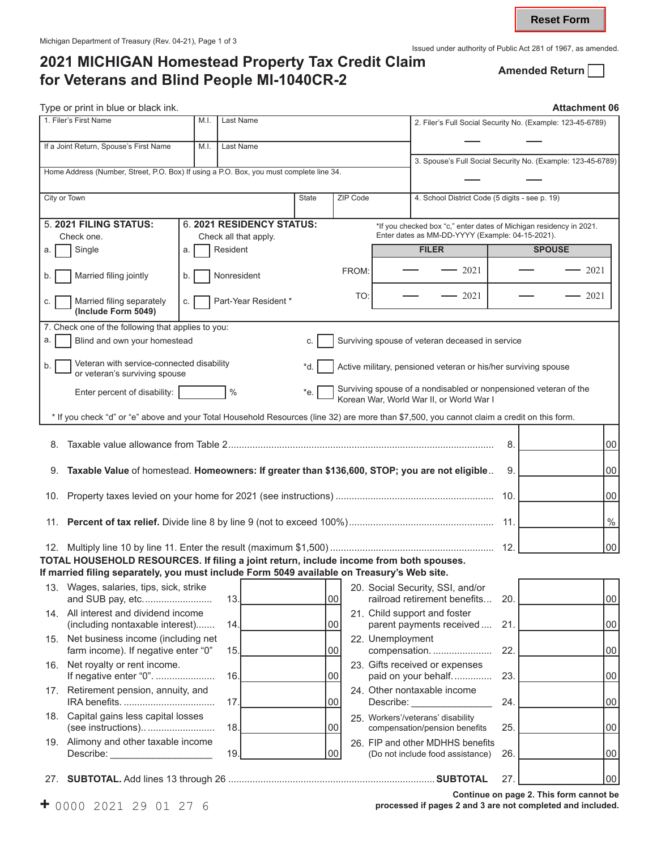## Issued under authority of Public Act 281 of 1967, as amended.<br>2021 MICHIGAN Homestead Property Tax Credit Claim **Amonded Poturn 2021 MICHIGAN Homestead Property Tax Credit Claim Amended Return for Veterans and Blind People MI-1040CR-2**

**Reset Form**

|                                                                                         | Type or print in blue or black ink.                                                                                                         |    |               |                           |              |          |                                                             |                                                                                                                         |     | Attachment 06 |                 |
|-----------------------------------------------------------------------------------------|---------------------------------------------------------------------------------------------------------------------------------------------|----|---------------|---------------------------|--------------|----------|-------------------------------------------------------------|-------------------------------------------------------------------------------------------------------------------------|-----|---------------|-----------------|
|                                                                                         | 1. Filer's First Name<br>Last Name<br>M.I.                                                                                                  |    |               |                           |              |          |                                                             | 2. Filer's Full Social Security No. (Example: 123-45-6789)                                                              |     |               |                 |
| If a Joint Return, Spouse's First Name<br>Last Name<br>M.I.                             |                                                                                                                                             |    |               |                           |              |          |                                                             |                                                                                                                         |     |               |                 |
| Home Address (Number, Street, P.O. Box) If using a P.O. Box, you must complete line 34. |                                                                                                                                             |    |               |                           |              |          | 3. Spouse's Full Social Security No. (Example: 123-45-6789) |                                                                                                                         |     |               |                 |
|                                                                                         |                                                                                                                                             |    |               |                           |              |          |                                                             |                                                                                                                         |     |               |                 |
| City or Town                                                                            |                                                                                                                                             |    |               |                           | <b>State</b> | ZIP Code |                                                             | 4. School District Code (5 digits - see p. 19)                                                                          |     |               |                 |
|                                                                                         | 5. 2021 FILING STATUS:                                                                                                                      |    |               | 6. 2021 RESIDENCY STATUS: |              |          |                                                             | *If you checked box "c," enter dates of Michigan residency in 2021.<br>Enter dates as MM-DD-YYYY (Example: 04-15-2021). |     |               |                 |
| a.                                                                                      | Check one.<br>Single                                                                                                                        | a. | Resident      | Check all that apply.     |              |          |                                                             | <b>FILER</b>                                                                                                            |     | <b>SPOUSE</b> |                 |
|                                                                                         |                                                                                                                                             |    |               |                           |              |          |                                                             |                                                                                                                         |     |               |                 |
| b.                                                                                      | Married filing jointly                                                                                                                      | b. | Nonresident   |                           |              | FROM:    |                                                             | - 2021                                                                                                                  |     |               | 2021            |
| С.                                                                                      | Married filing separately<br>(Include Form 5049)                                                                                            | C. |               | Part-Year Resident *      |              |          | TO:                                                         | 2021                                                                                                                    |     |               | 2021            |
|                                                                                         | 7. Check one of the following that applies to you:                                                                                          |    |               |                           |              |          |                                                             |                                                                                                                         |     |               |                 |
| a.                                                                                      | Blind and own your homestead                                                                                                                |    |               |                           | C.           |          |                                                             | Surviving spouse of veteran deceased in service                                                                         |     |               |                 |
| b.                                                                                      | Veteran with service-connected disability<br>or veteran's surviving spouse                                                                  |    |               |                           | *d.          |          |                                                             | Active military, pensioned veteran or his/her surviving spouse                                                          |     |               |                 |
|                                                                                         | Enter percent of disability:                                                                                                                |    | $\frac{0}{0}$ |                           | *e.          |          |                                                             | Surviving spouse of a nondisabled or nonpensioned veteran of the<br>Korean War, World War II, or World War I            |     |               |                 |
|                                                                                         | * If you check "d" or "e" above and your Total Household Resources (line 32) are more than \$7,500, you cannot claim a credit on this form. |    |               |                           |              |          |                                                             |                                                                                                                         |     |               |                 |
| 8.                                                                                      |                                                                                                                                             |    |               |                           |              |          |                                                             |                                                                                                                         | 8.  |               | $00\,$          |
|                                                                                         |                                                                                                                                             |    |               |                           |              |          |                                                             |                                                                                                                         |     |               |                 |
| 9.                                                                                      | Taxable Value of homestead. Homeowners: If greater than \$136,600, STOP; you are not eligible                                               |    |               |                           |              |          |                                                             |                                                                                                                         | 9.  |               | $00\,$          |
| 10.                                                                                     |                                                                                                                                             |    |               |                           |              |          |                                                             |                                                                                                                         | 10. |               | $00\,$          |
|                                                                                         |                                                                                                                                             |    |               |                           |              |          |                                                             |                                                                                                                         | 11. |               | $\%$            |
|                                                                                         |                                                                                                                                             |    |               |                           |              |          |                                                             |                                                                                                                         |     |               | 00              |
|                                                                                         | TOTAL HOUSEHOLD RESOURCES. If filing a joint return, include income from both spouses.                                                      |    |               |                           |              |          |                                                             |                                                                                                                         |     |               |                 |
|                                                                                         | If married filing separately, you must include Form 5049 available on Treasury's Web site.<br>13. Wages, salaries, tips, sick, strike       |    |               |                           |              |          |                                                             | 20. Social Security, SSI, and/or                                                                                        |     |               |                 |
|                                                                                         | and SUB pay, etc                                                                                                                            |    | 13.           |                           |              | 00       |                                                             | railroad retirement benefits                                                                                            | 20. |               | 00 <sub>0</sub> |
|                                                                                         | 14. All interest and dividend income<br>(including nontaxable interest)                                                                     |    | 14.           |                           |              | 00       |                                                             | 21. Child support and foster<br>parent payments received                                                                | 21  |               | $00\,$          |
|                                                                                         | 15. Net business income (including net<br>farm income). If negative enter "0"                                                               |    | 15.           |                           |              | 00       | 22. Unemployment                                            | compensation.                                                                                                           | 22. |               | $00\,$          |
|                                                                                         | 16. Net royalty or rent income.<br>If negative enter "0".                                                                                   |    | 16.           |                           |              |          |                                                             | 23. Gifts received or expenses                                                                                          | 23. |               |                 |
|                                                                                         | 17. Retirement pension, annuity, and                                                                                                        |    |               |                           |              | 00       |                                                             | paid on your behalf<br>24. Other nontaxable income                                                                      |     |               | $00\,$          |
|                                                                                         | 18. Capital gains less capital losses                                                                                                       |    | 17            |                           |              | 00       | Describe:                                                   | 25. Workers'/veterans' disability                                                                                       | 24. |               | $00\,$          |
|                                                                                         | (see instructions)                                                                                                                          |    | 18.           |                           |              | 00       |                                                             | compensation/pension benefits                                                                                           | 25. |               | $00\,$          |
|                                                                                         | 19. Alimony and other taxable income<br>Describe:                                                                                           |    | 19.           |                           |              | 00       |                                                             | 26. FIP and other MDHHS benefits<br>(Do not include food assistance)                                                    | 26. |               | 00              |
| 27.                                                                                     |                                                                                                                                             |    |               |                           |              |          |                                                             |                                                                                                                         | 27. |               | 00              |
|                                                                                         |                                                                                                                                             |    |               |                           |              |          |                                                             |                                                                                                                         |     |               |                 |

**F** 0000 2021 29 01 27 6 *processed if pages 2 and 3 are not completed and included.*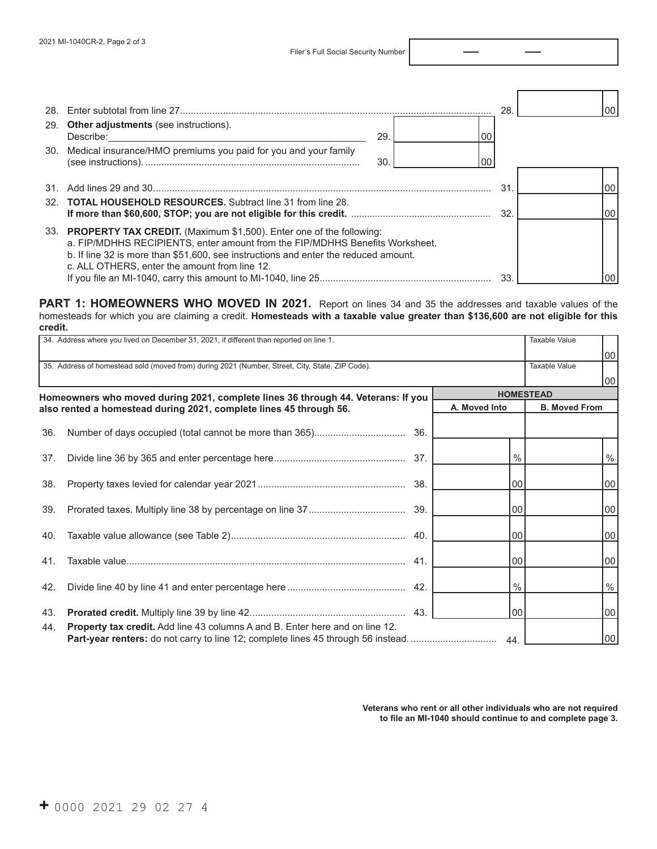|                                                                                                                                                                                                                                                                                                 | 28  |                 |
|-------------------------------------------------------------------------------------------------------------------------------------------------------------------------------------------------------------------------------------------------------------------------------------------------|-----|-----------------|
| 29. Other adjustments (see instructions).<br>29.<br>Describe:                                                                                                                                                                                                                                   |     |                 |
| 30. Medical insurance/HMO premiums you paid for you and your family<br>30<br>00                                                                                                                                                                                                                 |     |                 |
|                                                                                                                                                                                                                                                                                                 | 31  |                 |
| 32. <b>TOTAL HOUSEHOLD RESOURCES.</b> Subtract line 31 from line 28.                                                                                                                                                                                                                            | 32. | 00 <sup>1</sup> |
| 33. PROPERTY TAX CREDIT. (Maximum \$1,500). Enter one of the following:<br>a. FIP/MDHHS RECIPIENTS, enter amount from the FIP/MDHHS Benefits Worksheet.<br>b. If line 32 is more than \$51,600, see instructions and enter the reduced amount.<br>c. ALL OTHERS, enter the amount from line 12. |     |                 |
|                                                                                                                                                                                                                                                                                                 | 33  |                 |

## PART 1: HOMEOWNERS WHO MOVED IN 2021. Report on lines 34 and 35 the addresses and taxable values of the homesteads for which you are claiming a credit. **Homesteads with a taxable value greater than \$136,600 are not eligible for this credit.**

| 34. Address where you lived on December 31, 2021, if different than reported on line 1. | Taxable Value                                                                                                                                                    |     |               |                      |                 |  |
|-----------------------------------------------------------------------------------------|------------------------------------------------------------------------------------------------------------------------------------------------------------------|-----|---------------|----------------------|-----------------|--|
|                                                                                         |                                                                                                                                                                  |     |               |                      | 00              |  |
|                                                                                         | 35. Address of homestead sold (moved from) during 2021 (Number, Street, City, State, ZIP Code).<br><b>Taxable Value</b>                                          |     |               |                      |                 |  |
|                                                                                         |                                                                                                                                                                  |     |               |                      | 00              |  |
|                                                                                         | Homeowners who moved during 2021, complete lines 36 through 44. Veterans: If you                                                                                 |     |               | <b>HOMESTEAD</b>     |                 |  |
|                                                                                         | also rented a homestead during 2021, complete lines 45 through 56.                                                                                               |     | A. Moved Into | <b>B. Moved From</b> |                 |  |
| 36.                                                                                     |                                                                                                                                                                  |     |               |                      |                 |  |
| 37.                                                                                     |                                                                                                                                                                  |     | $\%$          |                      | %               |  |
|                                                                                         |                                                                                                                                                                  |     |               |                      |                 |  |
| 38.                                                                                     |                                                                                                                                                                  |     | $00\,$        |                      | 00 <sub>1</sub> |  |
| 39.                                                                                     |                                                                                                                                                                  | 39. | 00            |                      | 00              |  |
| 40.                                                                                     |                                                                                                                                                                  |     | 00            |                      | 00              |  |
| 41.                                                                                     |                                                                                                                                                                  |     | 00            |                      | 00              |  |
| 42.                                                                                     |                                                                                                                                                                  |     | $\%$          |                      | $\%$            |  |
| 43.                                                                                     |                                                                                                                                                                  |     | 00            |                      | 00 <sub>1</sub> |  |
| 44.                                                                                     | Property tax credit. Add line 43 columns A and B. Enter here and on line 12.<br>Part-year renters: do not carry to line 12; complete lines 45 through 56 instead |     | 44            |                      | 00              |  |

**Veterans who rent or all other individuals who are not required to file an MI-1040 should continue to and complete page 3.**